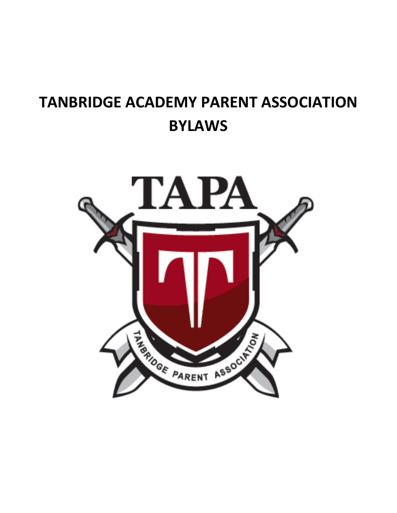# **TANBRIDGE ACADEMY PARENT ASSOCIATION BYLAWS**

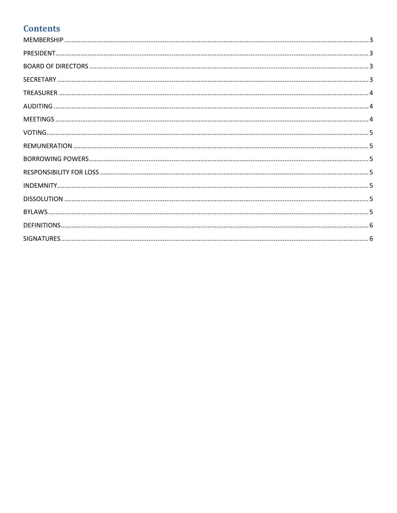# **Contents**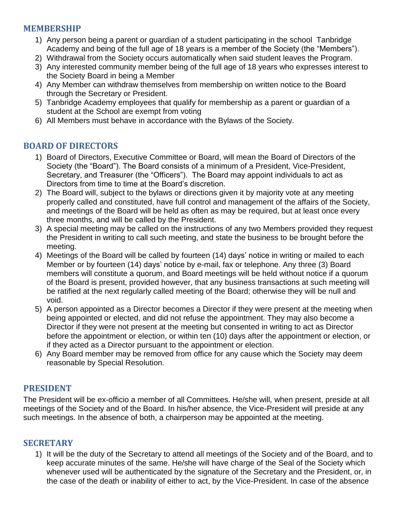## <span id="page-2-0"></span>**MEMBERSHIP**

- 1) Any person being a parent or guardian of a student participating in the school Tanbridge Academy and being of the full age of 18 years is a member of the Society (the "Members").
- 2) Withdrawal from the Society occurs automatically when said student leaves the Program.
- 3) Any interested community member being of the full age of 18 years who expresses interest to the Society Board in being a Member
- 4) Any Member can withdraw themselves from membership on written notice to the Board through the Secretary or President.
- 5) Tanbridge Academy employees that qualify for membership as a parent or guardian of a student at the School are exempt from voting
- <span id="page-2-2"></span>6) All Members must behave in accordance with the Bylaws of the Society.

## **BOARD OF DIRECTORS**

- 1) Board of Directors, Executive Committee or Board, will mean the Board of Directors of the Society (the "Board"). The Board consists of a minimum of a President, Vice-President, Secretary, and Treasurer (the "Officers"). The Board may appoint individuals to act as Directors from time to time at the Board's discretion.
- 2) The Board will, subject to the bylaws or directions given it by majority vote at any meeting properly called and constituted, have full control and management of the affairs of the Society, and meetings of the Board will be held as often as may be required, but at least once every three months, and will be called by the President.
- 3) A special meeting may be called on the instructions of any two Members provided they request the President in writing to call such meeting, and state the business to be brought before the meeting.
- 4) Meetings of the Board will be called by fourteen (14) days' notice in writing or mailed to each Member or by fourteen (14) days' notice by e-mail, fax or telephone. Any three (3) Board members will constitute a quorum, and Board meetings will be held without notice if a quorum of the Board is present, provided however, that any business transactions at such meeting will be ratified at the next regularly called meeting of the Board; otherwise they will be null and void.
- 5) A person appointed as a Director becomes a Director if they were present at the meeting when being appointed or elected, and did not refuse the appointment. They may also become a Director if they were not present at the meeting but consented in writing to act as Director before the appointment or election, or within ten (10) days after the appointment or election, or if they acted as a Director pursuant to the appointment or election.
- 6) Any Board member may be removed from office for any cause which the Society may deem reasonable by Special Resolution.

## <span id="page-2-1"></span>**PRESIDENT**

The President will be ex-officio a member of all Committees. He/she will, when present, preside at all meetings of the Society and of the Board. In his/her absence, the Vice-President will preside at any such meetings. In the absence of both, a chairperson may be appointed at the meeting.

#### **SECRETARY**

1) It will be the duty of the Secretary to attend all meetings of the Society and of the Board, and to keep accurate minutes of the same. He/she will have charge of the Seal of the Society which whenever used will be authenticated by the signature of the Secretary and the President, or, in the case of the death or inability of either to act, by the Vice-President. In case of the absence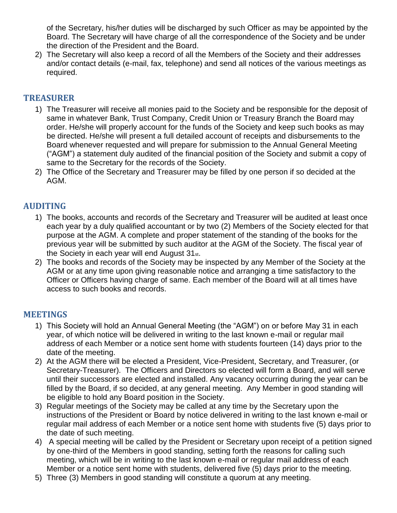of the Secretary, his/her duties will be discharged by such Officer as may be appointed by the Board. The Secretary will have charge of all the correspondence of the Society and be under the direction of the President and the Board.

2) The Secretary will also keep a record of all the Members of the Society and their addresses and/or contact details (e-mail, fax, telephone) and send all notices of the various meetings as required.

## <span id="page-3-0"></span>**TREASURER**

- 1) The Treasurer will receive all monies paid to the Society and be responsible for the deposit of same in whatever Bank, Trust Company, Credit Union or Treasury Branch the Board may order. He/she will properly account for the funds of the Society and keep such books as may be directed. He/she will present a full detailed account of receipts and disbursements to the Board whenever requested and will prepare for submission to the Annual General Meeting ("AGM") a statement duly audited of the financial position of the Society and submit a copy of same to the Secretary for the records of the Society.
- 2) The Office of the Secretary and Treasurer may be filled by one person if so decided at the AGM.

## <span id="page-3-1"></span>**AUDITING**

- 1) The books, accounts and records of the Secretary and Treasurer will be audited at least once each year by a duly qualified accountant or by two (2) Members of the Society elected for that purpose at the AGM. A complete and proper statement of the standing of the books for the previous year will be submitted by such auditor at the AGM of the Society. The fiscal year of the Society in each year will end August 31st.
- 2) The books and records of the Society may be inspected by any Member of the Society at the AGM or at any time upon giving reasonable notice and arranging a time satisfactory to the Officer or Officers having charge of same. Each member of the Board will at all times have access to such books and records.

## <span id="page-3-2"></span>**MEETINGS**

- 1) This Society will hold an Annual General Meeting (the "AGM") on or before May 31 in each year, of which notice will be delivered in writing to the last known e-mail or regular mail address of each Member or a notice sent home with students fourteen (14) days prior to the date of the meeting.
- 2) At the AGM there will be elected a President, Vice-President, Secretary, and Treasurer, (or Secretary-Treasurer). The Officers and Directors so elected will form a Board, and will serve until their successors are elected and installed. Any vacancy occurring during the year can be filled by the Board, if so decided, at any general meeting. Any Member in good standing will be eligible to hold any Board position in the Society.
- 3) Regular meetings of the Society may be called at any time by the Secretary upon the instructions of the President or Board by notice delivered in writing to the last known e-mail or regular mail address of each Member or a notice sent home with students five (5) days prior to the date of such meeting.
- 4) A special meeting will be called by the President or Secretary upon receipt of a petition signed by one-third of the Members in good standing, setting forth the reasons for calling such meeting, which will be in writing to the last known e-mail or regular mail address of each Member or a notice sent home with students, delivered five (5) days prior to the meeting.
- 5) Three (3) Members in good standing will constitute a quorum at any meeting.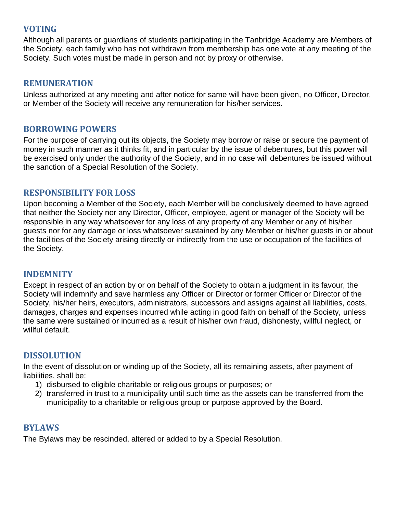## <span id="page-4-0"></span>**VOTING**

Although all parents or guardians of students participating in the Tanbridge Academy are Members of the Society, each family who has not withdrawn from membership has one vote at any meeting of the Society. Such votes must be made in person and not by proxy or otherwise.

#### <span id="page-4-1"></span>**REMUNERATION**

Unless authorized at any meeting and after notice for same will have been given, no Officer, Director, or Member of the Society will receive any remuneration for his/her services.

## <span id="page-4-2"></span>**BORROWING POWERS**

For the purpose of carrying out its objects, the Society may borrow or raise or secure the payment of money in such manner as it thinks fit, and in particular by the issue of debentures, but this power will be exercised only under the authority of the Society, and in no case will debentures be issued without the sanction of a Special Resolution of the Society.

#### <span id="page-4-3"></span>**RESPONSIBILITY FOR LOSS**

Upon becoming a Member of the Society, each Member will be conclusively deemed to have agreed that neither the Society nor any Director, Officer, employee, agent or manager of the Society will be responsible in any way whatsoever for any loss of any property of any Member or any of his/her guests nor for any damage or loss whatsoever sustained by any Member or his/her guests in or about the facilities of the Society arising directly or indirectly from the use or occupation of the facilities of the Society.

#### <span id="page-4-4"></span>**INDEMNITY**

Except in respect of an action by or on behalf of the Society to obtain a judgment in its favour, the Society will indemnify and save harmless any Officer or Director or former Officer or Director of the Society, his/her heirs, executors, administrators, successors and assigns against all liabilities, costs, damages, charges and expenses incurred while acting in good faith on behalf of the Society, unless the same were sustained or incurred as a result of his/her own fraud, dishonesty, willful neglect, or willful default.

#### <span id="page-4-5"></span>**DISSOLUTION**

In the event of dissolution or winding up of the Society, all its remaining assets, after payment of liabilities, shall be:

- 1) disbursed to eligible charitable or religious groups or purposes; or
- 2) transferred in trust to a municipality until such time as the assets can be transferred from the municipality to a charitable or religious group or purpose approved by the Board.

#### <span id="page-4-6"></span>**BYLAWS**

The Bylaws may be rescinded, altered or added to by a Special Resolution.